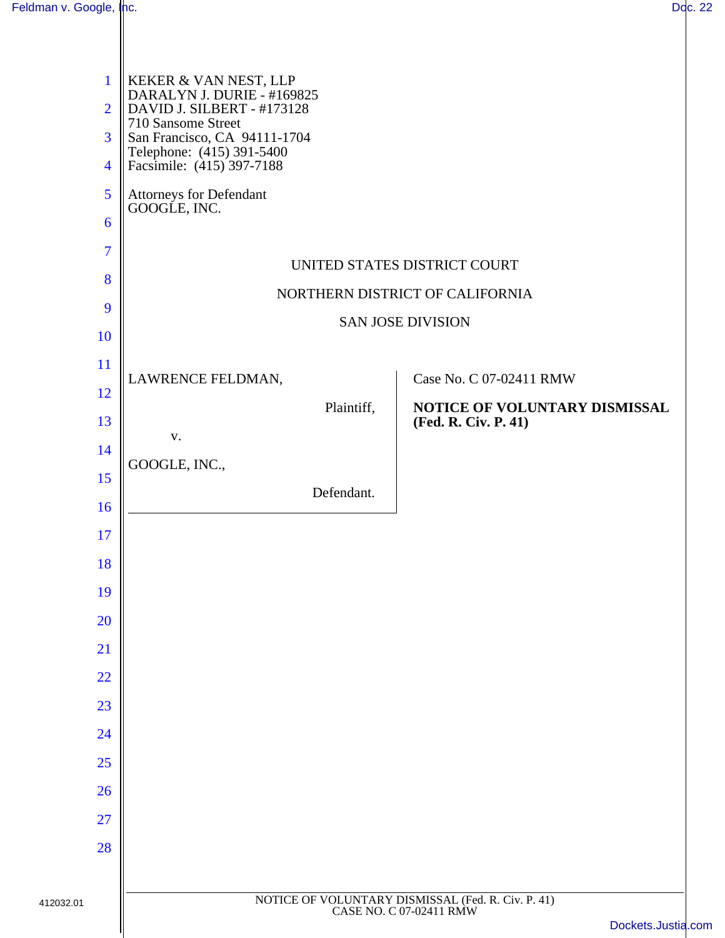